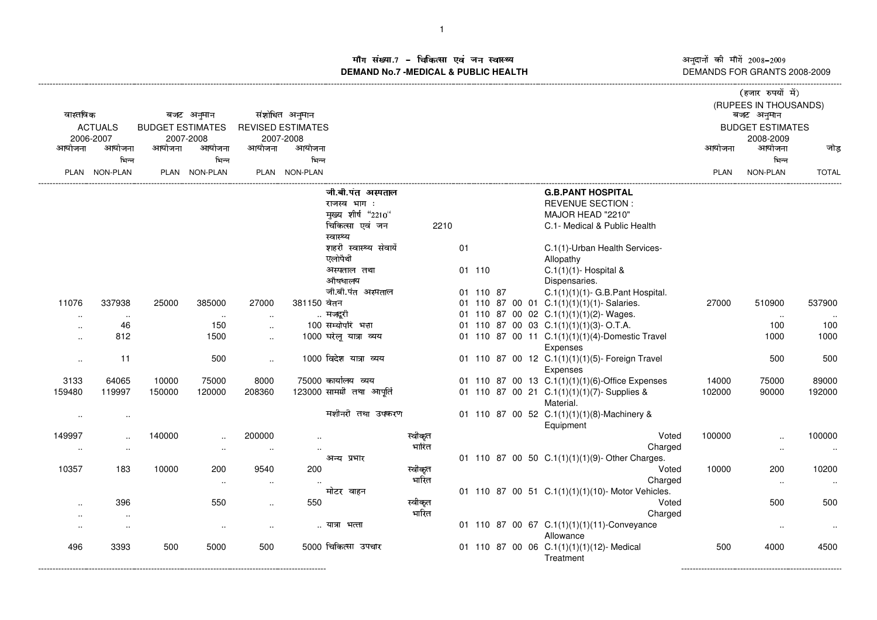ाँग संख्या.7 – चिकित्सा एवं जन स्वास्थ्य<br>IAND No.7 MEDICAL & DURLIC HEALTH **DEMAND No.7 -MEDICAL & PUBLIC HEALTH**

----------------------------------------------------------------------------------------------------------------------------------------------------------------------------------------------------------------------------------------------------------------------------------------------

अनुदानों की माँगें 2008–2009 DEMANDS FOR GRANTS 2008-2009

| वास्तविक<br><b>ACTUALS</b><br>2006-2007 |                      | बजट अनुमान<br><b>BUDGET ESTIMATES</b><br>2007-2008 |                      |                      | संशोधित अनुमान<br><b>REVISED ESTIMATES</b><br>2007-2008 |                                                                                        |                  |    |           |  |                                                                                                          | बजट अनुमान<br><b>BUDGET ESTIMATES</b> | (हजार रुपयों में)<br>(RUPEES IN THOUSANDS) |              |
|-----------------------------------------|----------------------|----------------------------------------------------|----------------------|----------------------|---------------------------------------------------------|----------------------------------------------------------------------------------------|------------------|----|-----------|--|----------------------------------------------------------------------------------------------------------|---------------------------------------|--------------------------------------------|--------------|
| आयोजना                                  | आयोजना               | आयोजना                                             | आयोजना               | आयोजना               | आयोजना                                                  |                                                                                        |                  |    |           |  |                                                                                                          | आयोजना                                | 2008-2009<br>आयोजना                        | जोड          |
|                                         | भिन्न                |                                                    | भिन्न                |                      | भिन्न                                                   |                                                                                        |                  |    |           |  |                                                                                                          |                                       | भिन्न                                      |              |
|                                         | PLAN NON-PLAN        |                                                    | PLAN NON-PLAN        |                      | PLAN NON-PLAN                                           |                                                                                        |                  |    |           |  |                                                                                                          | <b>PLAN</b>                           | NON-PLAN                                   | <b>TOTAL</b> |
|                                         |                      |                                                    |                      |                      |                                                         | जी.बी.पंत अस्पताल<br>राजस्व भाग:<br>मुख्य शीर्ष "2210"<br>चिकित्सा एवं जन<br>स्वास्थ्य | 2210             |    |           |  | <b>G.B.PANT HOSPITAL</b><br><b>REVENUE SECTION:</b><br>MAJOR HEAD "2210"<br>C.1- Medical & Public Health |                                       |                                            |              |
|                                         |                      |                                                    |                      |                      |                                                         | शहरी स्वास्थ्य सेवायें<br>एलोपैथी                                                      |                  | 01 |           |  | C.1(1)-Urban Health Services-<br>Allopathy                                                               |                                       |                                            |              |
|                                         |                      |                                                    |                      |                      |                                                         | अस्पताल तथा<br>औषधालय                                                                  |                  |    | 01 110    |  | C.1(1)(1)- Hospital &<br>Dispensaries.                                                                   |                                       |                                            |              |
|                                         |                      |                                                    |                      |                      |                                                         | जी.बी.पंत अस्पताल                                                                      |                  |    | 01 110 87 |  | $C.1(1)(1)(1)$ - G.B.Pant Hospital.                                                                      |                                       |                                            |              |
| 11076                                   | 337938               | 25000                                              | 385000               | 27000                | 381150 वेतन                                             |                                                                                        |                  |    |           |  | 01 110 87 00 01 C.1(1)(1)(1)(1)- Salaries.                                                               | 27000                                 | 510900                                     | 537900       |
| $\cdot$ .                               | $\ddotsc$            |                                                    | $\sim$               | $\ddot{\phantom{a}}$ |                                                         | मजदूरी                                                                                 |                  |    |           |  | 01 110 87 00 02 C.1(1)(1)(1)(2)- Wages.                                                                  |                                       | $\sim$                                     |              |
|                                         | 46                   |                                                    | 150                  | $\ddotsc$            |                                                         | 100 सम्योपरि भत्ता                                                                     |                  |    |           |  | 01 110 87 00 03 C.1(1)(1)(1)(3)-O.T.A.                                                                   |                                       | 100                                        | 100          |
| $\cdot$ .                               | 812                  |                                                    | 1500                 | $\sim$               |                                                         | 1000 घरेलू यात्रा व्यय                                                                 |                  |    |           |  | 01 110 87 00 11 C.1(1)(1)(1)(4)-Domestic Travel<br>Expenses                                              |                                       | 1000                                       | 1000         |
| $\ddotsc$                               | 11                   |                                                    | 500                  | $\sim$               |                                                         | 1000 विदेश यात्रा व्यय                                                                 |                  |    |           |  | 01 110 87 00 12 C.1(1)(1)(1)(5)- Foreign Travel<br>Expenses                                              |                                       | 500                                        | 500          |
| 3133                                    | 64065                | 10000                                              | 75000                | 8000                 |                                                         | 75000 कार्यालय व्यय                                                                    |                  |    |           |  | 01 110 87 00 13 C.1(1)(1)(1)(6)-Office Expenses                                                          | 14000                                 | 75000                                      | 89000        |
| 159480                                  | 119997               | 150000                                             | 120000               | 208360               |                                                         | 123000 सामग्री तथा आपूर्ति                                                             |                  |    |           |  | 01 110 87 00 21 C.1(1)(1)(1)(7)-Supplies &<br>Material.                                                  | 102000                                | 90000                                      | 192000       |
| $\sim$                                  | $\sim$               |                                                    |                      |                      |                                                         | मशीनरी तथा उपकरण                                                                       |                  |    |           |  | 01 110 87 00 52 C.1(1)(1)(1)(8)-Machinery &<br>Equipment                                                 |                                       |                                            |              |
| 149997                                  | $\ddot{\phantom{a}}$ | 140000                                             | $\ddot{\phantom{a}}$ | 200000               |                                                         |                                                                                        | स्वीकृत          |    |           |  | Voted                                                                                                    | 100000                                | $\ddotsc$                                  | 100000       |
|                                         |                      |                                                    | $\ddotsc$            |                      |                                                         |                                                                                        | भारित            |    |           |  | Charged                                                                                                  |                                       | $\ddotsc$                                  | $\sim$       |
|                                         |                      |                                                    |                      |                      |                                                         | अन्य प्रभार                                                                            |                  |    |           |  | 01 110 87 00 50 C.1(1)(1)(1)(9)- Other Charges.                                                          |                                       |                                            |              |
| 10357                                   | 183                  | 10000                                              | 200                  | 9540                 | 200                                                     |                                                                                        | स्वीकृत          |    |           |  | Voted                                                                                                    | 10000                                 | 200                                        | 10200        |
|                                         |                      |                                                    | $\sim$               | $\sim$               |                                                         |                                                                                        | भारित            |    |           |  | Charged                                                                                                  |                                       | $\sim$                                     |              |
|                                         |                      |                                                    |                      |                      |                                                         | मोटर वाहन                                                                              |                  |    |           |  | 01 110 87 00 51 C.1(1)(1)(1)(10)- Motor Vehicles.                                                        |                                       |                                            |              |
|                                         | 396                  |                                                    | 550                  | $\sim$               | 550                                                     |                                                                                        | स्वीकृत<br>भारित |    |           |  | Voted                                                                                                    |                                       | 500                                        | 500          |
| $\cdot$ .                               |                      |                                                    |                      |                      |                                                         | यात्रा भत्ता                                                                           |                  |    |           |  | Charged<br>01 110 87 00 67 C.1(1)(1)(1)(11)-Conveyance                                                   |                                       |                                            |              |
|                                         |                      |                                                    | $\ddotsc$            |                      |                                                         |                                                                                        |                  |    |           |  | Allowance                                                                                                |                                       | $\ddotsc$                                  | $\ddotsc$    |
| 496                                     | 3393                 | 500                                                | 5000                 | 500                  |                                                         | 5000 चिकित्सा उपचार                                                                    |                  |    |           |  | 01 110 87 00 06 C.1(1)(1)(1)(12)- Medical<br>Treatment                                                   | 500                                   | 4000                                       | 4500         |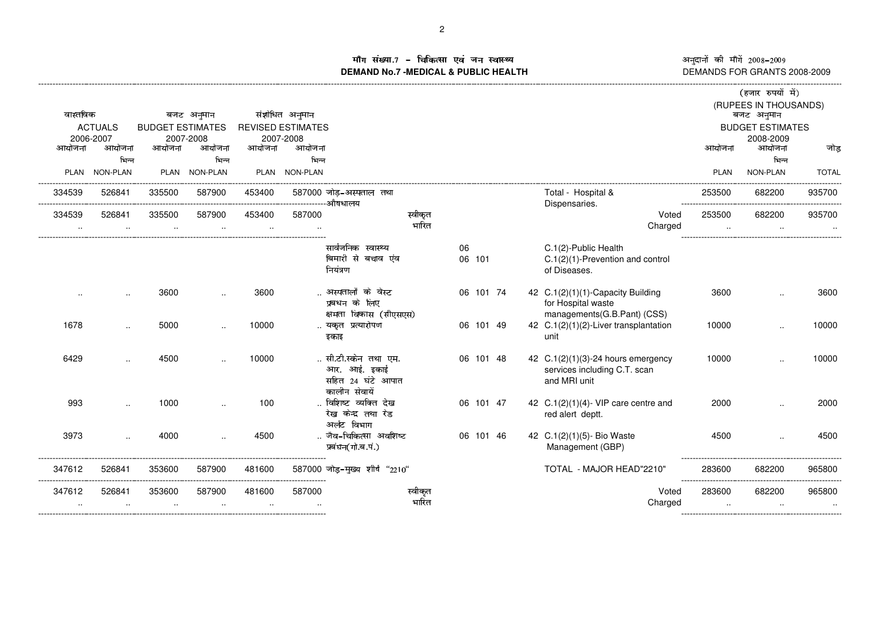अनुदानों की माँगें 2008–2009<br>DEMANDS FOR GRANTS 2008-2009

## ग संख्या.7 – चिकित्सा एवं जन स्वास्थ्य<br>AND No.7 MEDICAL & DUBLIC HEALTH **DEMAND No.7 -MEDICAL & PUBLIC HEALTH**

|                                           |                        |        |                        |                          |                                               |                                    |                  |           |  |                                                  |                         | (हजार रुपयों में)                   |              |
|-------------------------------------------|------------------------|--------|------------------------|--------------------------|-----------------------------------------------|------------------------------------|------------------|-----------|--|--------------------------------------------------|-------------------------|-------------------------------------|--------------|
| वास्तविक                                  |                        |        | बजट अनुमान             |                          | संशोधित अनुमान                                |                                    |                  |           |  |                                                  |                         | (RUPEES IN THOUSANDS)<br>बजट अनुमान |              |
| <b>ACTUALS</b><br><b>BUDGET ESTIMATES</b> |                        |        |                        | <b>REVISED ESTIMATES</b> |                                               |                                    |                  |           |  |                                                  | <b>BUDGET ESTIMATES</b> |                                     |              |
|                                           | 2006-2007              |        | 2007-2008              |                          | 2007-2008                                     |                                    |                  |           |  |                                                  |                         | 2008-2009                           |              |
| आयोजना                                    | आयोजना                 | आयोजना | आयोजना                 | आयोजना                   | आयोजना                                        |                                    |                  |           |  |                                                  | आयोजना                  | आयोजना                              | जोड          |
|                                           | भिन्न<br>PLAN NON-PLAN |        | भिन्न<br>PLAN NON-PLAN |                          | भिन्न<br>PLAN NON-PLAN                        |                                    |                  |           |  |                                                  | <b>PLAN</b>             | भिन्न<br>NON-PLAN                   | <b>TOTAL</b> |
|                                           |                        |        |                        |                          |                                               |                                    |                  |           |  |                                                  |                         |                                     |              |
| 334539                                    | 526841                 | 335500 | 587900                 | 453400                   |                                               | 587000 जोड़-अस्पताल तथा            |                  |           |  | Total - Hospital &                               | 253500                  | 682200                              | 935700       |
| 334539                                    | 526841                 | 335500 | 587900                 | 453400                   | -----------------------------औषधालय<br>587000 |                                    | स्वीकृत          |           |  | Dispensaries.<br>Voted                           | 253500                  | 682200                              | 935700       |
| $\cdot$ .                                 | $\sim$                 | $\sim$ | $\sim$                 | $\sim$                   | $\ldots$                                      |                                    | भारित            |           |  | Charged                                          | $\sim$                  | $\sim$                              |              |
|                                           |                        |        |                        |                          |                                               |                                    |                  |           |  |                                                  |                         |                                     |              |
|                                           |                        |        |                        |                          |                                               | सार्वजनिक स्वास्थ्य                |                  | 06        |  | C.1(2)-Public Health                             |                         |                                     |              |
|                                           |                        |        |                        |                          |                                               | बिमारी से बचाव एंव<br>नियंत्रण     |                  | 06 101    |  | C.1(2)(1)-Prevention and control<br>of Diseases. |                         |                                     |              |
|                                           |                        |        |                        |                          |                                               |                                    |                  |           |  |                                                  |                         |                                     |              |
|                                           | $\ddot{\phantom{a}}$   | 3600   | $\ddot{\phantom{a}}$   | 3600                     |                                               | अस्पतालों के वेस्ट                 |                  | 06 101 74 |  | 42 C.1(2)(1)(1)-Capacity Building                | 3600                    |                                     | 3600         |
|                                           |                        |        |                        |                          |                                               | प्रबधन के लिए                      |                  |           |  | for Hospital waste                               |                         |                                     |              |
| 1678                                      |                        | 5000   |                        | 10000                    |                                               | क्षमता विकास (सीएसएस)              |                  | 06 101 49 |  | managements(G.B.Pant) (CSS)                      | 10000                   |                                     |              |
|                                           | $\ddot{\phantom{a}}$   |        | $\cdot$ .              |                          |                                               | यकृत प्रत्यारोपण<br>इकाइ           |                  |           |  | 42 C.1(2)(1)(2)-Liver transplantation<br>unit    |                         | $\ddotsc$                           | 10000        |
|                                           |                        |        |                        |                          |                                               |                                    |                  |           |  |                                                  |                         |                                     |              |
| 6429                                      |                        | 4500   |                        | 10000                    |                                               | सी.टी.स्केन तथा एम.                |                  | 06 101 48 |  | 42 C.1(2)(1)(3)-24 hours emergency               | 10000                   |                                     | 10000        |
|                                           |                        |        |                        |                          |                                               | आर. आई. इकाई                       |                  |           |  | services including C.T. scan                     |                         |                                     |              |
|                                           |                        |        |                        |                          |                                               | सहित 24 घंटे आपात<br>कालीन सेवायें |                  |           |  | and MRI unit                                     |                         |                                     |              |
| 993                                       |                        | 1000   |                        | 100                      |                                               | विशिष्ट व्यक्ति देख                |                  | 06 101 47 |  | 42 $C.1(2)(1)(4)$ - VIP care centre and          | 2000                    |                                     | 2000         |
|                                           |                        |        |                        |                          |                                               | रेख केन्द्र तथा रेड                |                  |           |  | red alert deptt.                                 |                         |                                     |              |
|                                           |                        |        |                        |                          |                                               | अर्लट विभाग                        |                  |           |  |                                                  |                         |                                     |              |
| 3973                                      |                        | 4000   |                        | 4500                     |                                               | जैव-चिकित्सा अवशिष्ट               |                  | 06 101 46 |  | 42 C.1(2)(1)(5)- Bio Waste                       | 4500                    |                                     | 4500         |
|                                           |                        |        |                        |                          |                                               | प्रबंघन(गो.ब.पं.)                  |                  |           |  | Management (GBP)                                 |                         |                                     |              |
| 347612                                    | 526841                 | 353600 | 587900                 | 481600                   |                                               | 587000 जोड़-मुख्य शीर्ष "2210"     |                  |           |  | TOTAL - MAJOR HEAD"2210"                         | 283600                  | 682200                              | 965800       |
|                                           |                        |        |                        |                          |                                               |                                    |                  |           |  |                                                  |                         |                                     |              |
| 347612                                    | 526841                 | 353600 | 587900                 | 481600                   | 587000                                        |                                    | स्वीकृत<br>भारित |           |  | Voted                                            | 283600                  | 682200                              | 965800       |
|                                           | $\cdot$ .              | $\sim$ | $\cdot$ .              | $\ddotsc$                |                                               |                                    |                  |           |  | Charged                                          | $\sim$                  | $\sim$                              |              |